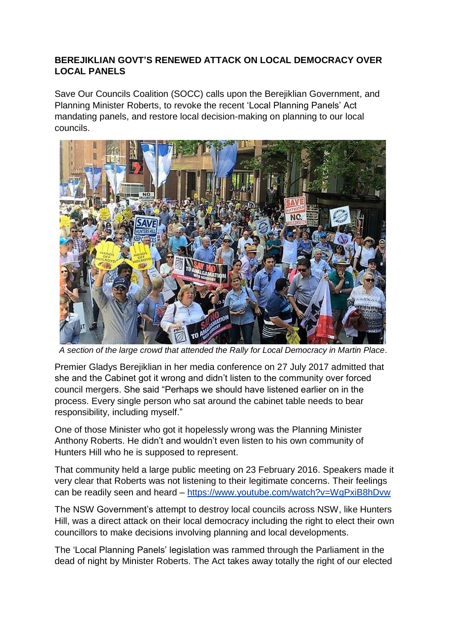## **BEREJIKLIAN GOVT'S RENEWED ATTACK ON LOCAL DEMOCRACY OVER LOCAL PANELS**

Save Our Councils Coalition (SOCC) calls upon the Berejiklian Government, and Planning Minister Roberts, to revoke the recent 'Local Planning Panels' Act mandating panels, and restore local decision-making on planning to our local councils.



*A section of the large crowd that attended the Rally for Local Democracy in Martin Place*.

Premier Gladys Berejiklian in her media conference on 27 July 2017 admitted that she and the Cabinet got it wrong and didn't listen to the community over forced council mergers. She said "Perhaps we should have listened earlier on in the process. Every single person who sat around the cabinet table needs to bear responsibility, including myself."

One of those Minister who got it hopelessly wrong was the Planning Minister Anthony Roberts. He didn't and wouldn't even listen to his own community of Hunters Hill who he is supposed to represent.

That community held a large public meeting on 23 February 2016. Speakers made it very clear that Roberts was not listening to their legitimate concerns. Their feelings can be readily seen and heard – <https://www.youtube.com/watch?v=WgPxiB8hDvw>

The NSW Government's attempt to destroy local councils across NSW, like Hunters Hill, was a direct attack on their local democracy including the right to elect their own councillors to make decisions involving planning and local developments.

The 'Local Planning Panels' legislation was rammed through the Parliament in the dead of night by Minister Roberts. The Act takes away totally the right of our elected